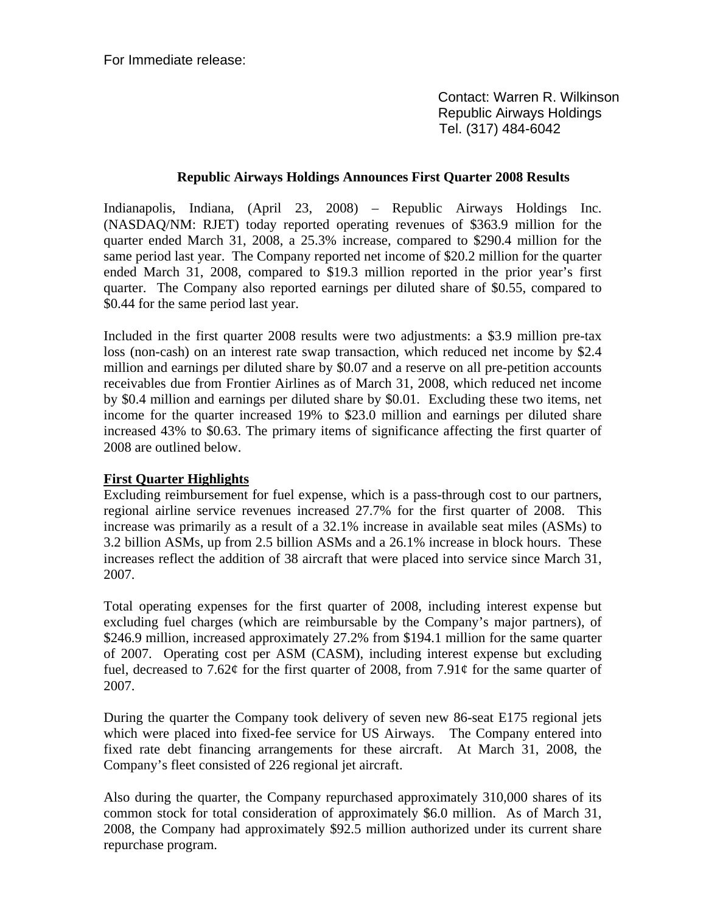For Immediate release:

 Contact: Warren R. Wilkinson Republic Airways Holdings Tel. (317) 484-6042

### **Republic Airways Holdings Announces First Quarter 2008 Results**

Indianapolis, Indiana, (April 23, 2008) – Republic Airways Holdings Inc. (NASDAQ/NM: RJET) today reported operating revenues of \$363.9 million for the quarter ended March 31, 2008, a 25.3% increase, compared to \$290.4 million for the same period last year. The Company reported net income of \$20.2 million for the quarter ended March 31, 2008, compared to \$19.3 million reported in the prior year's first quarter. The Company also reported earnings per diluted share of \$0.55, compared to \$0.44 for the same period last year.

Included in the first quarter 2008 results were two adjustments: a \$3.9 million pre-tax loss (non-cash) on an interest rate swap transaction, which reduced net income by \$2.4 million and earnings per diluted share by \$0.07 and a reserve on all pre-petition accounts receivables due from Frontier Airlines as of March 31, 2008, which reduced net income by \$0.4 million and earnings per diluted share by \$0.01. Excluding these two items, net income for the quarter increased 19% to \$23.0 million and earnings per diluted share increased 43% to \$0.63. The primary items of significance affecting the first quarter of 2008 are outlined below.

## **First Quarter Highlights**

Excluding reimbursement for fuel expense, which is a pass-through cost to our partners, regional airline service revenues increased 27.7% for the first quarter of 2008. This increase was primarily as a result of a 32.1% increase in available seat miles (ASMs) to 3.2 billion ASMs, up from 2.5 billion ASMs and a 26.1% increase in block hours. These increases reflect the addition of 38 aircraft that were placed into service since March 31, 2007.

Total operating expenses for the first quarter of 2008, including interest expense but excluding fuel charges (which are reimbursable by the Company's major partners), of \$246.9 million, increased approximately 27.2% from \$194.1 million for the same quarter of 2007. Operating cost per ASM (CASM), including interest expense but excluding fuel, decreased to 7.62 $\varphi$  for the first quarter of 2008, from 7.91 $\varphi$  for the same quarter of 2007.

During the quarter the Company took delivery of seven new 86-seat E175 regional jets which were placed into fixed-fee service for US Airways. The Company entered into fixed rate debt financing arrangements for these aircraft. At March 31, 2008, the Company's fleet consisted of 226 regional jet aircraft.

Also during the quarter, the Company repurchased approximately 310,000 shares of its common stock for total consideration of approximately \$6.0 million. As of March 31, 2008, the Company had approximately \$92.5 million authorized under its current share repurchase program.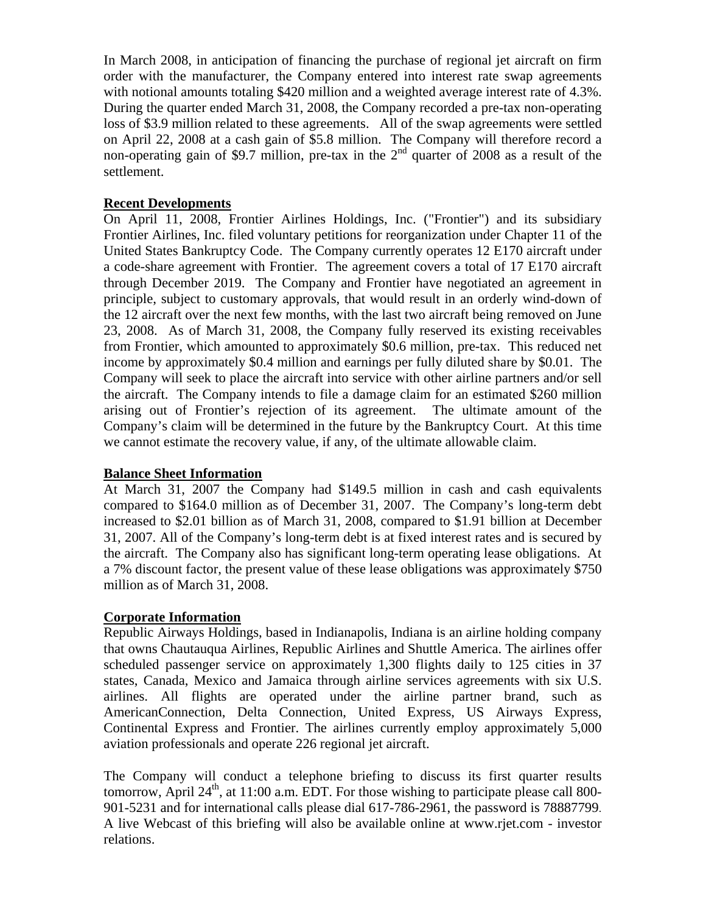In March 2008, in anticipation of financing the purchase of regional jet aircraft on firm order with the manufacturer, the Company entered into interest rate swap agreements with notional amounts totaling \$420 million and a weighted average interest rate of 4.3%. During the quarter ended March 31, 2008, the Company recorded a pre-tax non-operating loss of \$3.9 million related to these agreements. All of the swap agreements were settled on April 22, 2008 at a cash gain of \$5.8 million. The Company will therefore record a non-operating gain of \$9.7 million, pre-tax in the  $2<sup>nd</sup>$  quarter of 2008 as a result of the settlement.

### **Recent Developments**

On April 11, 2008, Frontier Airlines Holdings, Inc. ("Frontier") and its subsidiary Frontier Airlines, Inc. filed voluntary petitions for reorganization under Chapter 11 of the United States Bankruptcy Code. The Company currently operates 12 E170 aircraft under a code-share agreement with Frontier. The agreement covers a total of 17 E170 aircraft through December 2019. The Company and Frontier have negotiated an agreement in principle, subject to customary approvals, that would result in an orderly wind-down of the 12 aircraft over the next few months, with the last two aircraft being removed on June 23, 2008. As of March 31, 2008, the Company fully reserved its existing receivables from Frontier, which amounted to approximately \$0.6 million, pre-tax. This reduced net income by approximately \$0.4 million and earnings per fully diluted share by \$0.01. The Company will seek to place the aircraft into service with other airline partners and/or sell the aircraft. The Company intends to file a damage claim for an estimated \$260 million arising out of Frontier's rejection of its agreement. The ultimate amount of the Company's claim will be determined in the future by the Bankruptcy Court. At this time we cannot estimate the recovery value, if any, of the ultimate allowable claim.

### **Balance Sheet Information**

At March 31, 2007 the Company had \$149.5 million in cash and cash equivalents compared to \$164.0 million as of December 31, 2007. The Company's long-term debt increased to \$2.01 billion as of March 31, 2008, compared to \$1.91 billion at December 31, 2007. All of the Company's long-term debt is at fixed interest rates and is secured by the aircraft. The Company also has significant long-term operating lease obligations. At a 7% discount factor, the present value of these lease obligations was approximately \$750 million as of March 31, 2008.

## **Corporate Information**

Republic Airways Holdings, based in Indianapolis, Indiana is an airline holding company that owns Chautauqua Airlines, Republic Airlines and Shuttle America. The airlines offer scheduled passenger service on approximately 1,300 flights daily to 125 cities in 37 states, Canada, Mexico and Jamaica through airline services agreements with six U.S. airlines. All flights are operated under the airline partner brand, such as AmericanConnection, Delta Connection, United Express, US Airways Express, Continental Express and Frontier. The airlines currently employ approximately 5,000 aviation professionals and operate 226 regional jet aircraft.

The Company will conduct a telephone briefing to discuss its first quarter results tomorrow, April  $24<sup>th</sup>$ , at 11:00 a.m. EDT. For those wishing to participate please call 800-901-5231 and for international calls please dial 617-786-2961, the password is 78887799. A live Webcast of this briefing will also be available online at www.rjet.com - investor relations.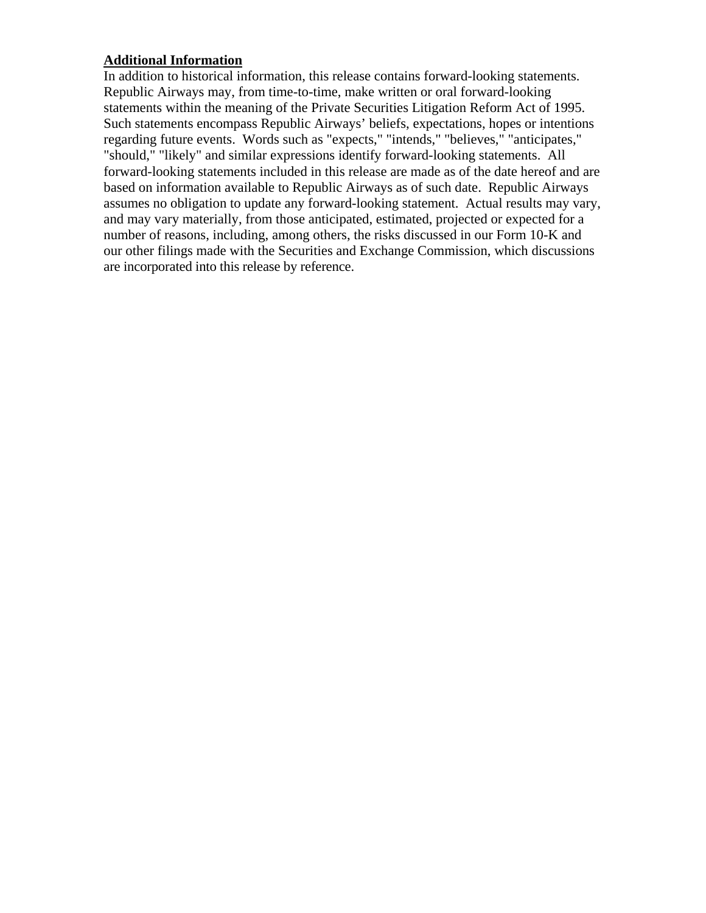# **Additional Information**

In addition to historical information, this release contains forward-looking statements. Republic Airways may, from time-to-time, make written or oral forward-looking statements within the meaning of the Private Securities Litigation Reform Act of 1995. Such statements encompass Republic Airways' beliefs, expectations, hopes or intentions regarding future events. Words such as "expects," "intends," "believes," "anticipates," "should," "likely" and similar expressions identify forward-looking statements. All forward-looking statements included in this release are made as of the date hereof and are based on information available to Republic Airways as of such date. Republic Airways assumes no obligation to update any forward-looking statement. Actual results may vary, and may vary materially, from those anticipated, estimated, projected or expected for a number of reasons, including, among others, the risks discussed in our Form 10-K and our other filings made with the Securities and Exchange Commission, which discussions are incorporated into this release by reference.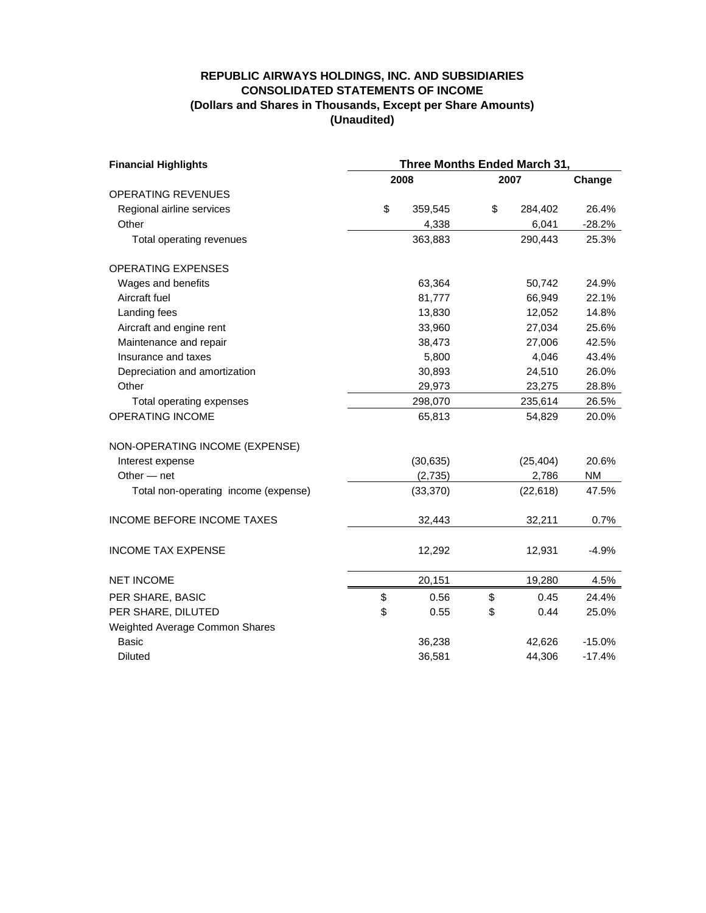#### **REPUBLIC AIRWAYS HOLDINGS, INC. AND SUBSIDIARIES CONSOLIDATED STATEMENTS OF INCOME (Dollars and Shares in Thousands, Except per Share Amounts) (Unaudited)**

| <b>Financial Highlights</b>          | Three Months Ended March 31, |      |           |           |
|--------------------------------------|------------------------------|------|-----------|-----------|
|                                      | 2008                         | 2007 |           | Change    |
| <b>OPERATING REVENUES</b>            |                              |      |           |           |
| Regional airline services            | \$<br>359,545                | \$   | 284,402   | 26.4%     |
| Other                                | 4,338                        |      | 6,041     | $-28.2%$  |
| Total operating revenues             | 363,883                      |      | 290,443   | 25.3%     |
| <b>OPERATING EXPENSES</b>            |                              |      |           |           |
| Wages and benefits                   | 63,364                       |      | 50,742    | 24.9%     |
| Aircraft fuel                        | 81,777                       |      | 66,949    | 22.1%     |
| Landing fees                         | 13,830                       |      | 12,052    | 14.8%     |
| Aircraft and engine rent             | 33,960                       |      | 27,034    | 25.6%     |
| Maintenance and repair               | 38,473                       |      | 27,006    | 42.5%     |
| Insurance and taxes                  | 5,800                        |      | 4,046     | 43.4%     |
| Depreciation and amortization        | 30,893                       |      | 24,510    | 26.0%     |
| Other                                | 29,973                       |      | 23,275    | 28.8%     |
| Total operating expenses             | 298,070                      |      | 235,614   | 26.5%     |
| <b>OPERATING INCOME</b>              | 65,813                       |      | 54,829    | 20.0%     |
| NON-OPERATING INCOME (EXPENSE)       |                              |      |           |           |
| Interest expense                     | (30, 635)                    |      | (25, 404) | 20.6%     |
| Other $-$ net                        | (2,735)                      |      | 2,786     | <b>NM</b> |
| Total non-operating income (expense) | (33, 370)                    |      | (22, 618) | 47.5%     |
| INCOME BEFORE INCOME TAXES           | 32,443                       |      | 32,211    | 0.7%      |
| <b>INCOME TAX EXPENSE</b>            | 12,292                       |      | 12,931    | $-4.9%$   |
| <b>NET INCOME</b>                    | 20,151                       |      | 19,280    | 4.5%      |
| PER SHARE, BASIC                     | \$<br>0.56                   | \$   | 0.45      | 24.4%     |
| PER SHARE, DILUTED                   | \$<br>0.55                   | \$   | 0.44      | 25.0%     |
| Weighted Average Common Shares       |                              |      |           |           |
| <b>Basic</b>                         | 36,238                       |      | 42,626    | $-15.0%$  |
| <b>Diluted</b>                       | 36,581                       |      | 44,306    | $-17.4%$  |